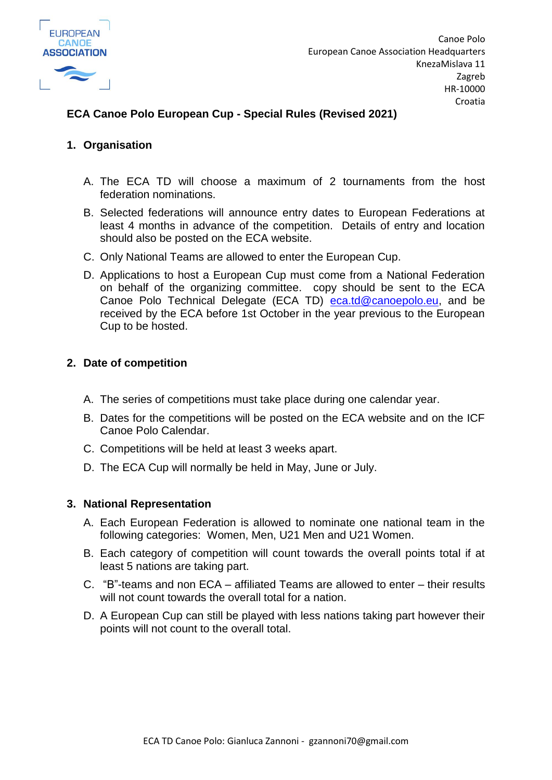

# **ECA Canoe Polo European Cup - Special Rules (Revised 2021)**

## **1. Organisation**

- A. The ECA TD will choose a maximum of 2 tournaments from the host federation nominations.
- B. Selected federations will announce entry dates to European Federations at least 4 months in advance of the competition. Details of entry and location should also be posted on the ECA website.
- C. Only National Teams are allowed to enter the European Cup.
- D. Applications to host a European Cup must come from a National Federation on behalf of the organizing committee. copy should be sent to the ECA Canoe Polo Technical Delegate (ECA TD) [eca.td@canoepolo.eu,](mailto:eca.td@canoepolo.eu) and be received by the ECA before 1st October in the year previous to the European Cup to be hosted.

### **2. Date of competition**

- A. The series of competitions must take place during one calendar year.
- B. Dates for the competitions will be posted on the ECA website and on the ICF Canoe Polo Calendar.
- C. Competitions will be held at least 3 weeks apart.
- D. The ECA Cup will normally be held in May, June or July.

### **3. National Representation**

- A. Each European Federation is allowed to nominate one national team in the following categories: Women, Men, U21 Men and U21 Women.
- B. Each category of competition will count towards the overall points total if at least 5 nations are taking part.
- C. "B"-teams and non ECA affiliated Teams are allowed to enter their results will not count towards the overall total for a nation.
- D. A European Cup can still be played with less nations taking part however their points will not count to the overall total.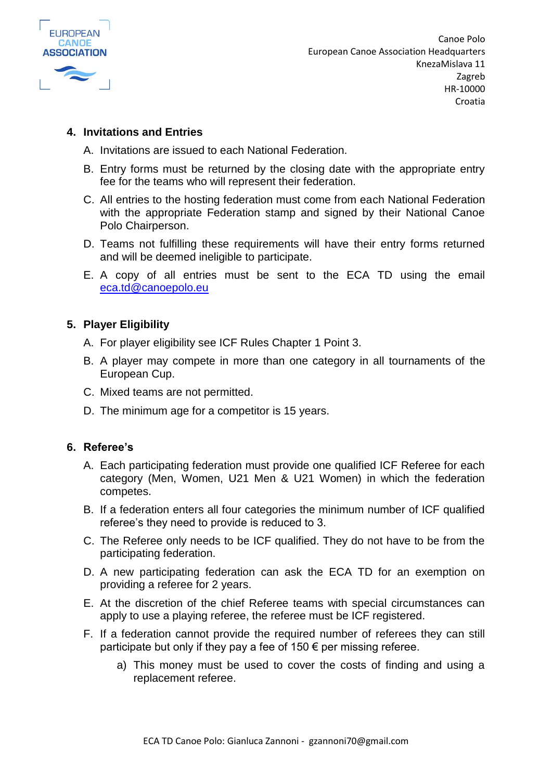

### **4. Invitations and Entries**

- A. Invitations are issued to each National Federation.
- B. Entry forms must be returned by the closing date with the appropriate entry fee for the teams who will represent their federation.
- C. All entries to the hosting federation must come from each National Federation with the appropriate Federation stamp and signed by their National Canoe Polo Chairperson.
- D. Teams not fulfilling these requirements will have their entry forms returned and will be deemed ineligible to participate.
- E. A copy of all entries must be sent to the ECA TD using the email [eca.td@canoepolo.eu](mailto:eca.td@canoepolo.eu)

## **5. Player Eligibility**

- A. For player eligibility see ICF Rules Chapter 1 Point 3.
- B. A player may compete in more than one category in all tournaments of the European Cup.
- C. Mixed teams are not permitted.
- D. The minimum age for a competitor is 15 years.

### **6. Referee's**

- A. Each participating federation must provide one qualified ICF Referee for each category (Men, Women, U21 Men & U21 Women) in which the federation competes.
- B. If a federation enters all four categories the minimum number of ICF qualified referee's they need to provide is reduced to 3.
- C. The Referee only needs to be ICF qualified. They do not have to be from the participating federation.
- D. A new participating federation can ask the ECA TD for an exemption on providing a referee for 2 years.
- E. At the discretion of the chief Referee teams with special circumstances can apply to use a playing referee, the referee must be ICF registered.
- F. If a federation cannot provide the required number of referees they can still participate but only if they pay a fee of 150  $\epsilon$  per missing referee.
	- a) This money must be used to cover the costs of finding and using a replacement referee.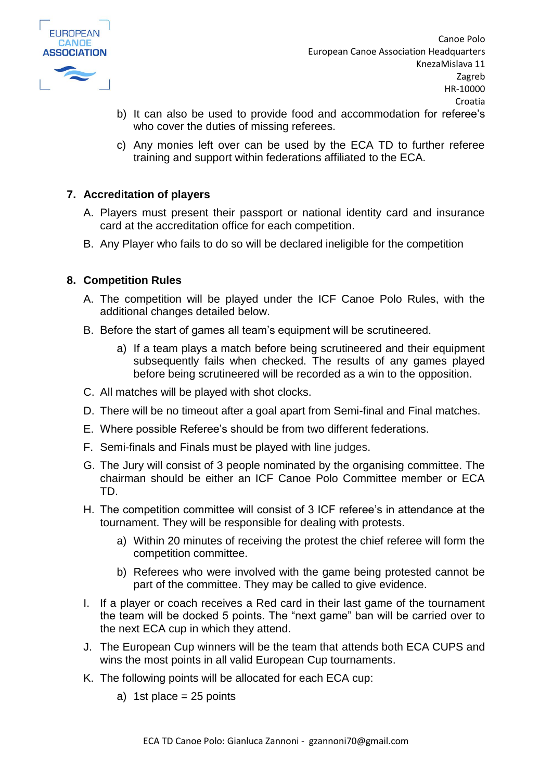

- b) It can also be used to provide food and accommodation for referee's who cover the duties of missing referees.
- c) Any monies left over can be used by the ECA TD to further referee training and support within federations affiliated to the ECA.

## **7. Accreditation of players**

- A. Players must present their passport or national identity card and insurance card at the accreditation office for each competition.
- B. Any Player who fails to do so will be declared ineligible for the competition

### **8. Competition Rules**

- A. The competition will be played under the ICF Canoe Polo Rules, with the additional changes detailed below.
- B. Before the start of games all team's equipment will be scrutineered.
	- a) If a team plays a match before being scrutineered and their equipment subsequently fails when checked. The results of any games played before being scrutineered will be recorded as a win to the opposition.
- C. All matches will be played with shot clocks.
- D. There will be no timeout after a goal apart from Semi-final and Final matches.
- E. Where possible Referee's should be from two different federations.
- F. Semi-finals and Finals must be played with line judges.
- G. The Jury will consist of 3 people nominated by the organising committee. The chairman should be either an ICF Canoe Polo Committee member or ECA TD.
- H. The competition committee will consist of 3 ICF referee's in attendance at the tournament. They will be responsible for dealing with protests.
	- a) Within 20 minutes of receiving the protest the chief referee will form the competition committee.
	- b) Referees who were involved with the game being protested cannot be part of the committee. They may be called to give evidence.
- I. If a player or coach receives a Red card in their last game of the tournament the team will be docked 5 points. The "next game" ban will be carried over to the next ECA cup in which they attend.
- J. The European Cup winners will be the team that attends both ECA CUPS and wins the most points in all valid European Cup tournaments.
- K. The following points will be allocated for each ECA cup:
	- a) 1st place  $= 25$  points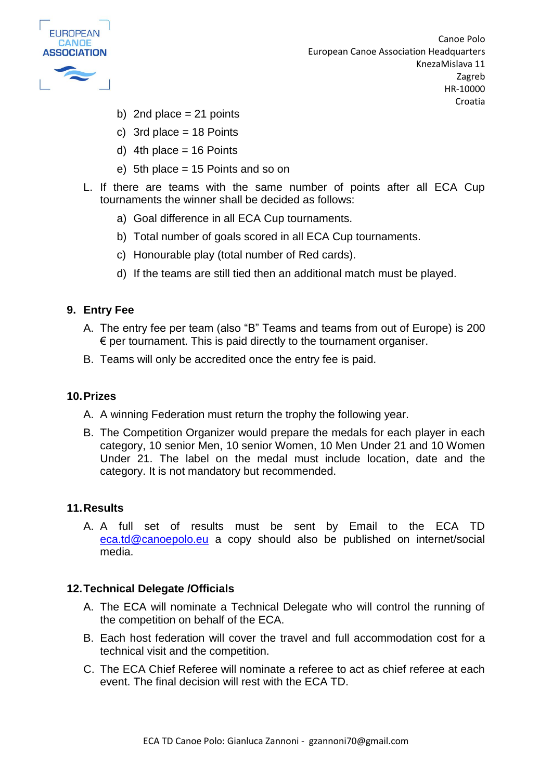

- b) 2nd place  $= 21$  points
- c) 3rd place  $= 18$  Points
- d) 4th place  $= 16$  Points
- e) 5th place = 15 Points and so on
- L. If there are teams with the same number of points after all ECA Cup tournaments the winner shall be decided as follows:
	- a) Goal difference in all ECA Cup tournaments.
	- b) Total number of goals scored in all ECA Cup tournaments.
	- c) Honourable play (total number of Red cards).
	- d) If the teams are still tied then an additional match must be played.

### **9. Entry Fee**

- A. The entry fee per team (also "B" Teams and teams from out of Europe) is 200  $\epsilon$  per tournament. This is paid directly to the tournament organiser.
- B. Teams will only be accredited once the entry fee is paid.

### **10.Prizes**

- A. A winning Federation must return the trophy the following year.
- B. The Competition Organizer would prepare the medals for each player in each category, 10 senior Men, 10 senior Women, 10 Men Under 21 and 10 Women Under 21. The label on the medal must include location, date and the category. It is not mandatory but recommended.

### **11.Results**

A. A full set of results must be sent by Email to the ECA TD [eca.td@canoepolo.eu](mailto:eca.td@canoepolo.eu) a copy should also be published on internet/social media.

### **12.Technical Delegate /Officials**

- A. The ECA will nominate a Technical Delegate who will control the running of the competition on behalf of the ECA.
- B. Each host federation will cover the travel and full accommodation cost for a technical visit and the competition.
- C. The ECA Chief Referee will nominate a referee to act as chief referee at each event. The final decision will rest with the ECA TD.